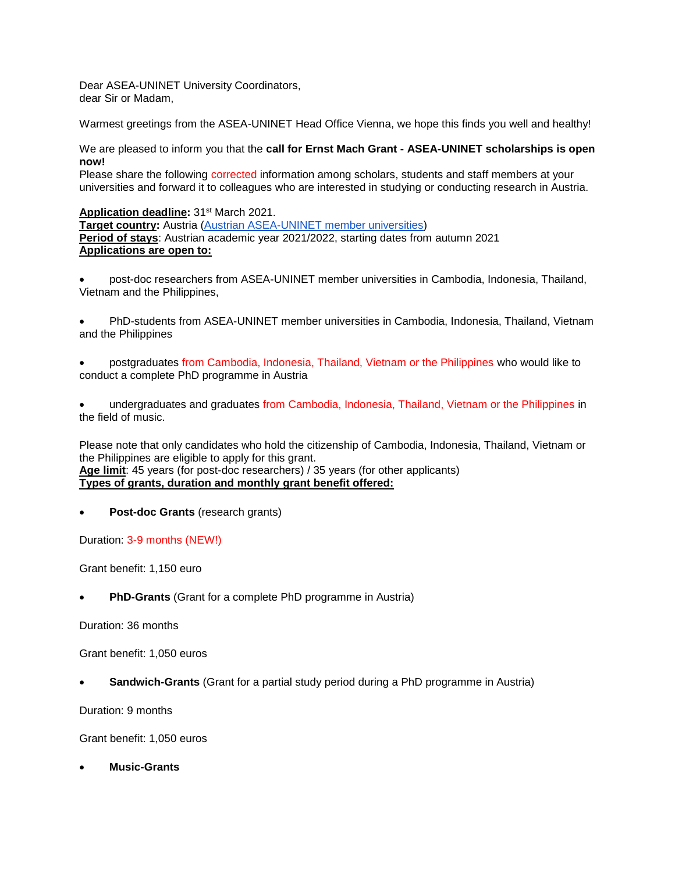Dear ASEA-UNINET University Coordinators, dear Sir or Madam,

Warmest greetings from the ASEA-UNINET Head Office Vienna, we hope this finds you well and healthy!

We are pleased to inform you that the **call for Ernst Mach Grant - ASEA-UNINET scholarships is open now!**

Please share the following corrected information among scholars, students and staff members at your universities and forward it to colleagues who are interested in studying or conducting research in Austria.

**Application deadline:** 31st March 2021.

**Target country:** Austria [\(Austrian ASEA-UNINET member universities\)](https://asea-uninet.org/network-members/member-universities/austrian-universities/) **Period of stays**: Austrian academic year 2021/2022, starting dates from autumn 2021 **Applications are open to:**

 post-doc researchers from ASEA-UNINET member universities in Cambodia, Indonesia, Thailand, Vietnam and the Philippines,

 PhD-students from ASEA-UNINET member universities in Cambodia, Indonesia, Thailand, Vietnam and the Philippines

 postgraduates from Cambodia, Indonesia, Thailand, Vietnam or the Philippines who would like to conduct a complete PhD programme in Austria

 undergraduates and graduates from Cambodia, Indonesia, Thailand, Vietnam or the Philippines in the field of music.

Please note that only candidates who hold the citizenship of Cambodia, Indonesia, Thailand, Vietnam or the Philippines are eligible to apply for this grant. **Age limit**: 45 years (for post-doc researchers) / 35 years (for other applicants)

**Types of grants, duration and monthly grant benefit offered:**

**Post-doc Grants** (research grants)

Duration: 3-9 months (NEW!)

Grant benefit: 1,150 euro

**PhD-Grants** (Grant for a complete PhD programme in Austria)

Duration: 36 months

Grant benefit: 1,050 euros

**Sandwich-Grants** (Grant for a partial study period during a PhD programme in Austria)

Duration: 9 months

Grant benefit: 1,050 euros

**Music-Grants**